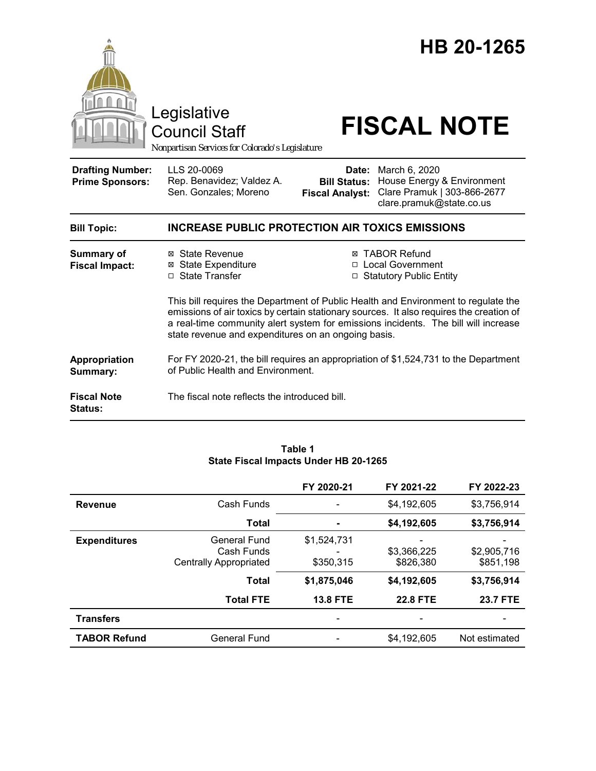

#### **Table 1 State Fiscal Impacts Under HB 20-1265**

|                     |                                                                    | FY 2020-21               | FY 2021-22               | FY 2022-23               |
|---------------------|--------------------------------------------------------------------|--------------------------|--------------------------|--------------------------|
| <b>Revenue</b>      | Cash Funds                                                         |                          | \$4,192,605              | \$3,756,914              |
|                     | <b>Total</b>                                                       |                          | \$4,192,605              | \$3,756,914              |
| <b>Expenditures</b> | <b>General Fund</b><br>Cash Funds<br><b>Centrally Appropriated</b> | \$1,524,731<br>\$350,315 | \$3,366,225<br>\$826,380 | \$2,905,716<br>\$851,198 |
|                     | <b>Total</b>                                                       | \$1,875,046              | \$4,192,605              | \$3,756,914              |
|                     | <b>Total FTE</b>                                                   | <b>13.8 FTE</b>          | <b>22.8 FTE</b>          | <b>23.7 FTE</b>          |
| <b>Transfers</b>    |                                                                    |                          |                          |                          |
| <b>TABOR Refund</b> | <b>General Fund</b>                                                |                          | \$4,192,605              | Not estimated            |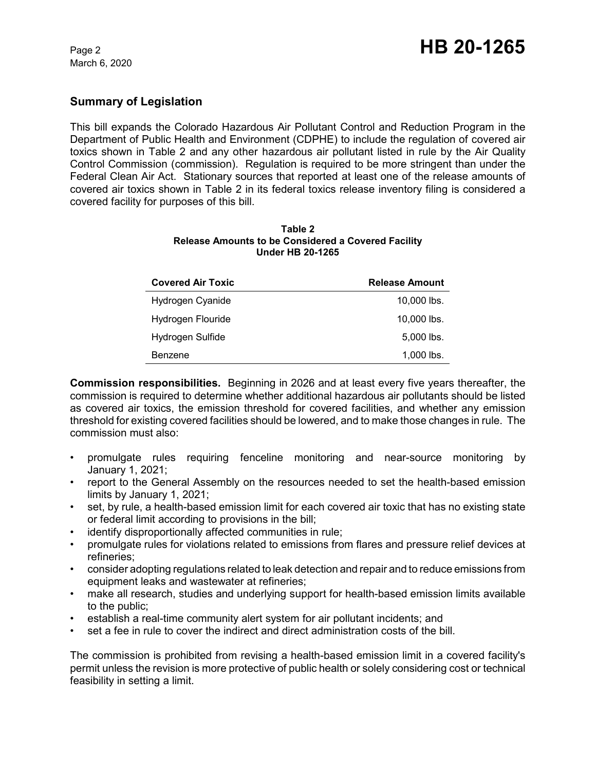### **Summary of Legislation**

This bill expands the Colorado Hazardous Air Pollutant Control and Reduction Program in the Department of Public Health and Environment (CDPHE) to include the regulation of covered air toxics shown in Table 2 and any other hazardous air pollutant listed in rule by the Air Quality Control Commission (commission). Regulation is required to be more stringent than under the Federal Clean Air Act. Stationary sources that reported at least one of the release amounts of covered air toxics shown in Table 2 in its federal toxics release inventory filing is considered a covered facility for purposes of this bill.

| Table 2                                             |
|-----------------------------------------------------|
| Release Amounts to be Considered a Covered Facility |
| <b>Under HB 20-1265</b>                             |

| <b>Covered Air Toxic</b> | <b>Release Amount</b> |
|--------------------------|-----------------------|
| Hydrogen Cyanide         | $10,000$ lbs.         |
| Hydrogen Flouride        | $10,000$ lbs.         |
| Hydrogen Sulfide         | $5,000$ lbs.          |
| Benzene                  | $1,000$ lbs.          |

**Commission responsibilities.** Beginning in 2026 and at least every five years thereafter, the commission is required to determine whether additional hazardous air pollutants should be listed as covered air toxics, the emission threshold for covered facilities, and whether any emission threshold for existing covered facilities should be lowered, and to make those changes in rule. The commission must also:

- promulgate rules requiring fenceline monitoring and near-source monitoring by January 1, 2021;
- report to the General Assembly on the resources needed to set the health-based emission limits by January 1, 2021;
- set, by rule, a health-based emission limit for each covered air toxic that has no existing state or federal limit according to provisions in the bill;
- identify disproportionally affected communities in rule;
- promulgate rules for violations related to emissions from flares and pressure relief devices at refineries;
- consider adopting regulations related to leak detection and repair and to reduce emissions from equipment leaks and wastewater at refineries;
- make all research, studies and underlying support for health-based emission limits available to the public;
- establish a real-time community alert system for air pollutant incidents; and
- set a fee in rule to cover the indirect and direct administration costs of the bill.

The commission is prohibited from revising a health-based emission limit in a covered facility's permit unless the revision is more protective of public health or solely considering cost or technical feasibility in setting a limit.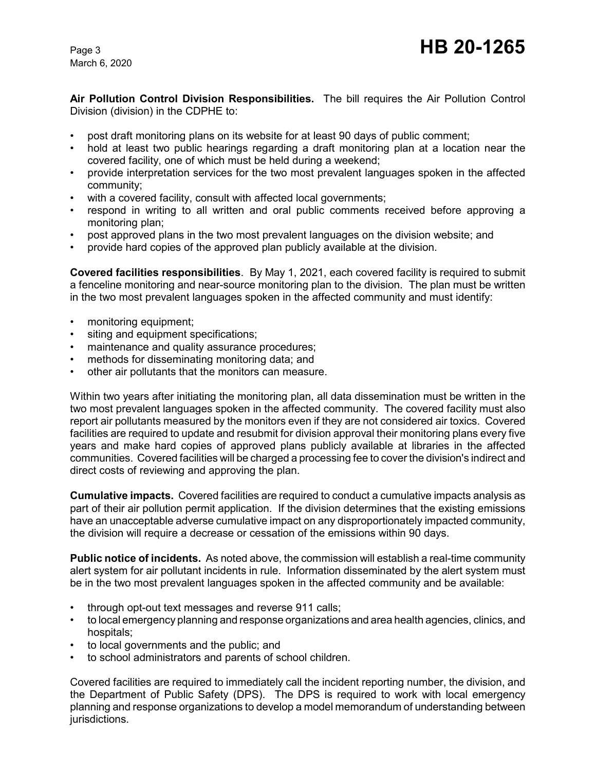March 6, 2020

**Air Pollution Control Division Responsibilities.** The bill requires the Air Pollution Control Division (division) in the CDPHE to:

- post draft monitoring plans on its website for at least 90 days of public comment;
- hold at least two public hearings regarding a draft monitoring plan at a location near the covered facility, one of which must be held during a weekend;
- provide interpretation services for the two most prevalent languages spoken in the affected community;
- with a covered facility, consult with affected local governments;
- respond in writing to all written and oral public comments received before approving a monitoring plan;
- post approved plans in the two most prevalent languages on the division website; and
- provide hard copies of the approved plan publicly available at the division.

**Covered facilities responsibilities**. By May 1, 2021, each covered facility is required to submit a fenceline monitoring and near-source monitoring plan to the division. The plan must be written in the two most prevalent languages spoken in the affected community and must identify:

- monitoring equipment;
- siting and equipment specifications;
- maintenance and quality assurance procedures;
- methods for disseminating monitoring data; and
- other air pollutants that the monitors can measure.

Within two years after initiating the monitoring plan, all data dissemination must be written in the two most prevalent languages spoken in the affected community. The covered facility must also report air pollutants measured by the monitors even if they are not considered air toxics. Covered facilities are required to update and resubmit for division approval their monitoring plans every five years and make hard copies of approved plans publicly available at libraries in the affected communities. Covered facilities will be charged a processing fee to cover the division's indirect and direct costs of reviewing and approving the plan.

**Cumulative impacts.** Covered facilities are required to conduct a cumulative impacts analysis as part of their air pollution permit application. If the division determines that the existing emissions have an unacceptable adverse cumulative impact on any disproportionately impacted community, the division will require a decrease or cessation of the emissions within 90 days.

**Public notice of incidents.** As noted above, the commission will establish a real-time community alert system for air pollutant incidents in rule. Information disseminated by the alert system must be in the two most prevalent languages spoken in the affected community and be available:

- through opt-out text messages and reverse 911 calls;
- to local emergency planning and response organizations and area health agencies, clinics, and hospitals;
- to local governments and the public; and
- to school administrators and parents of school children.

Covered facilities are required to immediately call the incident reporting number, the division, and the Department of Public Safety (DPS). The DPS is required to work with local emergency planning and response organizations to develop a model memorandum of understanding between jurisdictions.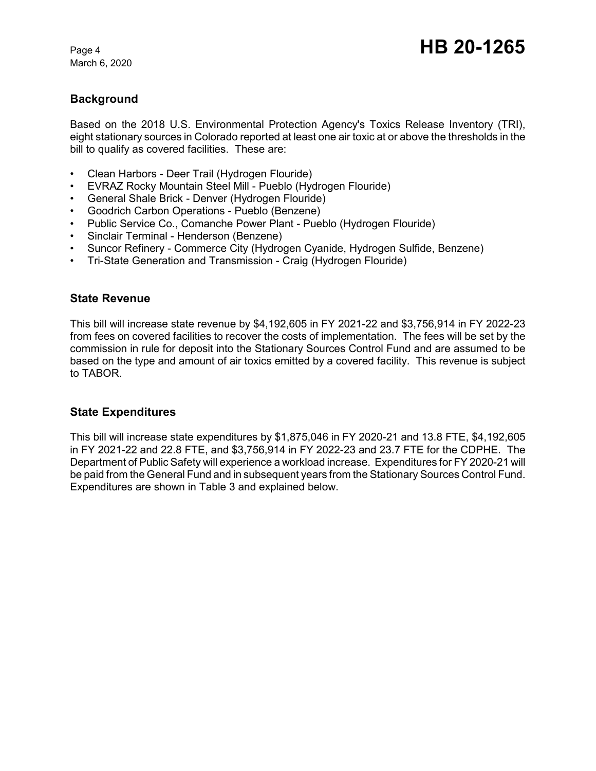## **Background**

Based on the 2018 U.S. Environmental Protection Agency's Toxics Release Inventory (TRI), eight stationary sources in Colorado reported at least one air toxic at or above the thresholds in the bill to qualify as covered facilities. These are:

- Clean Harbors Deer Trail (Hydrogen Flouride)
- EVRAZ Rocky Mountain Steel Mill Pueblo (Hydrogen Flouride)
- General Shale Brick Denver (Hydrogen Flouride)
- Goodrich Carbon Operations Pueblo (Benzene)
- Public Service Co., Comanche Power Plant Pueblo (Hydrogen Flouride)
- Sinclair Terminal Henderson (Benzene)
- Suncor Refinery Commerce City (Hydrogen Cyanide, Hydrogen Sulfide, Benzene)
- Tri-State Generation and Transmission Craig (Hydrogen Flouride)

#### **State Revenue**

This bill will increase state revenue by \$4,192,605 in FY 2021-22 and \$3,756,914 in FY 2022-23 from fees on covered facilities to recover the costs of implementation. The fees will be set by the commission in rule for deposit into the Stationary Sources Control Fund and are assumed to be based on the type and amount of air toxics emitted by a covered facility. This revenue is subject to TABOR.

### **State Expenditures**

This bill will increase state expenditures by \$1,875,046 in FY 2020-21 and 13.8 FTE, \$4,192,605 in FY 2021-22 and 22.8 FTE, and \$3,756,914 in FY 2022-23 and 23.7 FTE for the CDPHE. The Department of Public Safety will experience a workload increase. Expenditures for FY 2020-21 will be paid from the General Fund and in subsequent years from the Stationary Sources Control Fund. Expenditures are shown in Table 3 and explained below.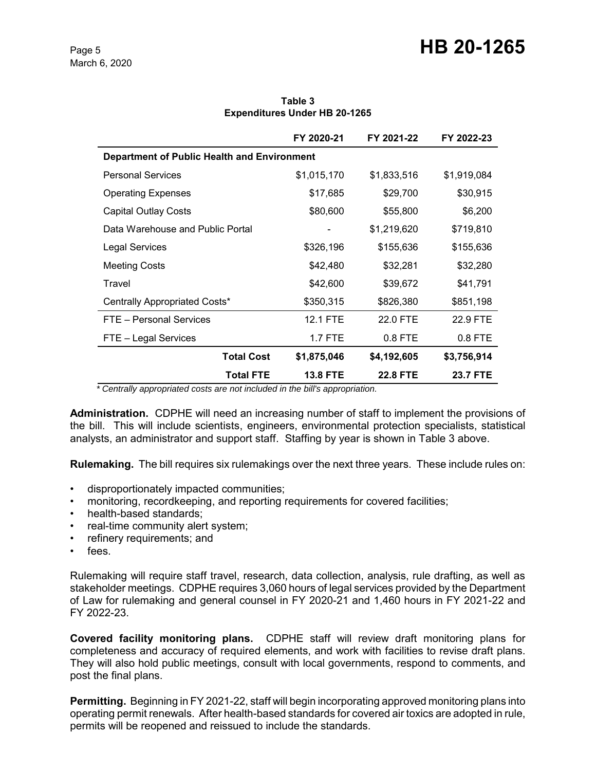|                                             | FY 2020-21                          | FY 2021-22      | FY 2022-23      |  |  |
|---------------------------------------------|-------------------------------------|-----------------|-----------------|--|--|
| Department of Public Health and Environment |                                     |                 |                 |  |  |
| <b>Personal Services</b>                    | \$1,015,170                         | \$1,833,516     | \$1,919,084     |  |  |
| <b>Operating Expenses</b>                   | \$17,685                            | \$29,700        | \$30,915        |  |  |
| Capital Outlay Costs                        | \$80,600                            | \$55,800        | \$6,200         |  |  |
| Data Warehouse and Public Portal            |                                     | \$1,219,620     | \$719,810       |  |  |
| <b>Legal Services</b>                       | \$326,196                           | \$155,636       | \$155,636       |  |  |
| <b>Meeting Costs</b>                        | \$42,480                            | \$32,281        | \$32,280        |  |  |
| Travel                                      | \$42,600                            | \$39,672        | \$41,791        |  |  |
| Centrally Appropriated Costs*               | \$350,315                           | \$826,380       | \$851,198       |  |  |
| FTE - Personal Services                     | 12.1 FTE                            | 22.0 FTE        | 22.9 FTE        |  |  |
| FTE - Legal Services                        | <b>1.7 FTE</b>                      | 0.8 FTE         | $0.8$ FTE       |  |  |
|                                             | <b>Total Cost</b><br>\$1,875,046    | \$4,192,605     | \$3,756,914     |  |  |
|                                             | <b>Total FTE</b><br><b>13.8 FTE</b> | <b>22.8 FTE</b> | <b>23.7 FTE</b> |  |  |

**Table 3 Expenditures Under HB 20-1265**

 *\* Centrally appropriated costs are not included in the bill's appropriation.*

**Administration.** CDPHE will need an increasing number of staff to implement the provisions of the bill. This will include scientists, engineers, environmental protection specialists, statistical analysts, an administrator and support staff. Staffing by year is shown in Table 3 above.

**Rulemaking.** The bill requires six rulemakings over the next three years. These include rules on:

- disproportionately impacted communities;
- monitoring, recordkeeping, and reporting requirements for covered facilities;
- health-based standards;
- real-time community alert system:
- refinery requirements; and
- fees.

Rulemaking will require staff travel, research, data collection, analysis, rule drafting, as well as stakeholder meetings. CDPHE requires 3,060 hours of legal services provided by the Department of Law for rulemaking and general counsel in FY 2020-21 and 1,460 hours in FY 2021-22 and FY 2022-23.

**Covered facility monitoring plans.** CDPHE staff will review draft monitoring plans for completeness and accuracy of required elements, and work with facilities to revise draft plans. They will also hold public meetings, consult with local governments, respond to comments, and post the final plans.

**Permitting.** Beginning in FY 2021-22, staff will begin incorporating approved monitoring plans into operating permit renewals. After health-based standards for covered air toxics are adopted in rule, permits will be reopened and reissued to include the standards.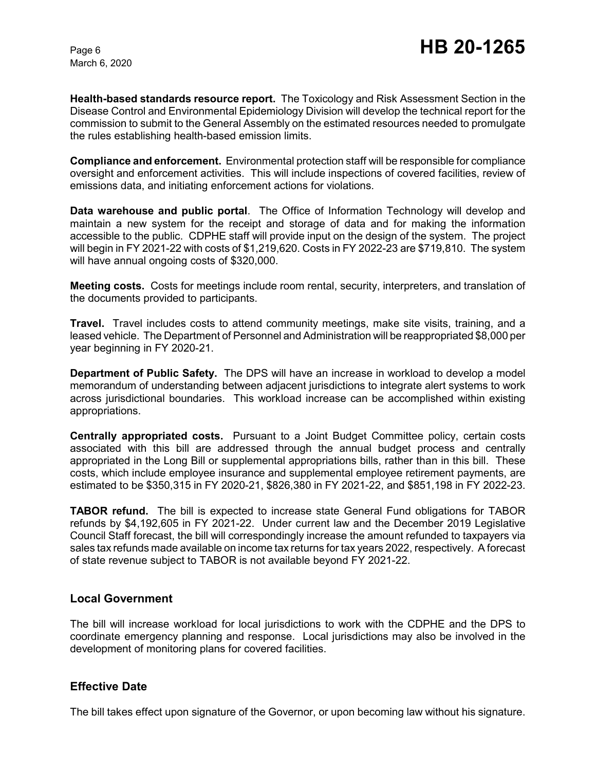March 6, 2020

**Health-based standards resource report.** The Toxicology and Risk Assessment Section in the Disease Control and Environmental Epidemiology Division will develop the technical report for the commission to submit to the General Assembly on the estimated resources needed to promulgate the rules establishing health-based emission limits.

**Compliance and enforcement.** Environmental protection staff will be responsible for compliance oversight and enforcement activities. This will include inspections of covered facilities, review of emissions data, and initiating enforcement actions for violations.

**Data warehouse and public portal**. The Office of Information Technology will develop and maintain a new system for the receipt and storage of data and for making the information accessible to the public. CDPHE staff will provide input on the design of the system. The project will begin in FY 2021-22 with costs of \$1,219,620. Costs in FY 2022-23 are \$719,810. The system will have annual ongoing costs of \$320,000.

**Meeting costs.** Costs for meetings include room rental, security, interpreters, and translation of the documents provided to participants.

**Travel.** Travel includes costs to attend community meetings, make site visits, training, and a leased vehicle. The Department of Personnel and Administration will be reappropriated \$8,000 per year beginning in FY 2020-21.

**Department of Public Safety.** The DPS will have an increase in workload to develop a model memorandum of understanding between adjacent jurisdictions to integrate alert systems to work across jurisdictional boundaries. This workload increase can be accomplished within existing appropriations.

**Centrally appropriated costs.** Pursuant to a Joint Budget Committee policy, certain costs associated with this bill are addressed through the annual budget process and centrally appropriated in the Long Bill or supplemental appropriations bills, rather than in this bill. These costs, which include employee insurance and supplemental employee retirement payments, are estimated to be \$350,315 in FY 2020-21, \$826,380 in FY 2021-22, and \$851,198 in FY 2022-23.

**TABOR refund.** The bill is expected to increase state General Fund obligations for TABOR refunds by \$4,192,605 in FY 2021-22. Under current law and the December 2019 Legislative Council Staff forecast, the bill will correspondingly increase the amount refunded to taxpayers via sales tax refunds made available on income tax returns for tax years 2022, respectively. A forecast of state revenue subject to TABOR is not available beyond FY 2021-22.

#### **Local Government**

The bill will increase workload for local jurisdictions to work with the CDPHE and the DPS to coordinate emergency planning and response. Local jurisdictions may also be involved in the development of monitoring plans for covered facilities.

### **Effective Date**

The bill takes effect upon signature of the Governor, or upon becoming law without his signature.